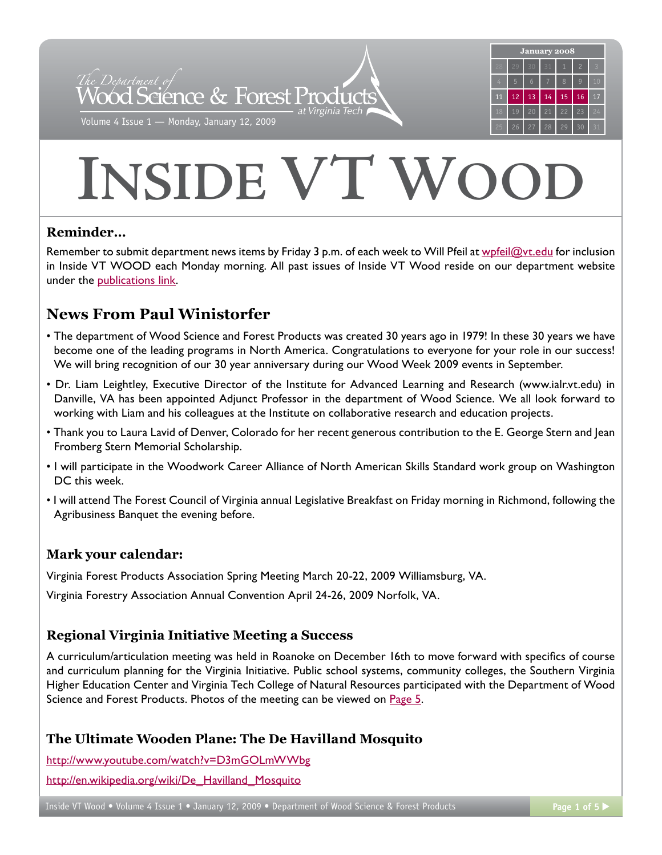

# **INSIDE VT WOO**

# **Reminder…**

Remember to submit department news items by Friday 3 p.m. of each week to Will Pfeil at wpfei[l@vt.edu](mailto:wpfeil@vt.edu) for inclusion in Inside VT WOOD each Monday morning. All past issues of Inside VT Wood reside on our department website under the [publications link](http://www.woodscience.vt.edu/publications/).

# **News From Paul Winistorfer**

- The department of Wood Science and Forest Products was created 30 years ago in 1979! In these 30 years we have become one of the leading programs in North America. Congratulations to everyone for your role in our success! We will bring recognition of our 30 year anniversary during our Wood Week 2009 events in September.
- Dr. Liam Leightley, Executive Director of the Institute for Advanced Learning and Research (www.ialr.vt.edu) in Danville, VA has been appointed Adjunct Professor in the department of Wood Science. We all look forward to working with Liam and his colleagues at the Institute on collaborative research and education projects.
- Thank you to Laura Lavid of Denver, Colorado for her recent generous contribution to the E. George Stern and Jean Fromberg Stern Memorial Scholarship.
- I will participate in the Woodwork Career Alliance of North American Skills Standard work group on Washington DC this week.
- I will attend The Forest Council of Virginia annual Legislative Breakfast on Friday morning in Richmond, following the Agribusiness Banquet the evening before.

# **Mark your calendar:**

Virginia Forest Products Association Spring Meeting March 20-22, 2009 Williamsburg, VA.

Virginia Forestry Association Annual Convention April 24-26, 2009 Norfolk, VA.

# **Regional Virginia Initiative Meeting a Success**

A curriculum/articulation meeting was held in Roanoke on December 16th to move forward with specifics of course and curriculum planning for the Virginia Initiative. Public school systems, community colleges, the Southern Virginia Higher Education Center and Virginia Tech College of Natural Resources participated with the Department of Wood Science and Forest Products. Photos of the meeting can be viewed on [Page 5.](#page-4-0)

# **The Ultimate Wooden Plane: The De Havilland Mosquito**

[http://www.youtube.com/watch?v=D3mGOLmWWb](http://www.youtube.com/watch?v=D3mGOLmWWbg)g

[http://en.wikipedia.org/wiki/De\\_Havilland\\_Mosquit](http://en.wikipedia.org/wiki/De_Havilland_Mosquito)o

Inside VT Wood ● Volume 4 Issue 1 • January 12, 2009 • Department of Wood Science & Forest Products Page 1 of 5 ▶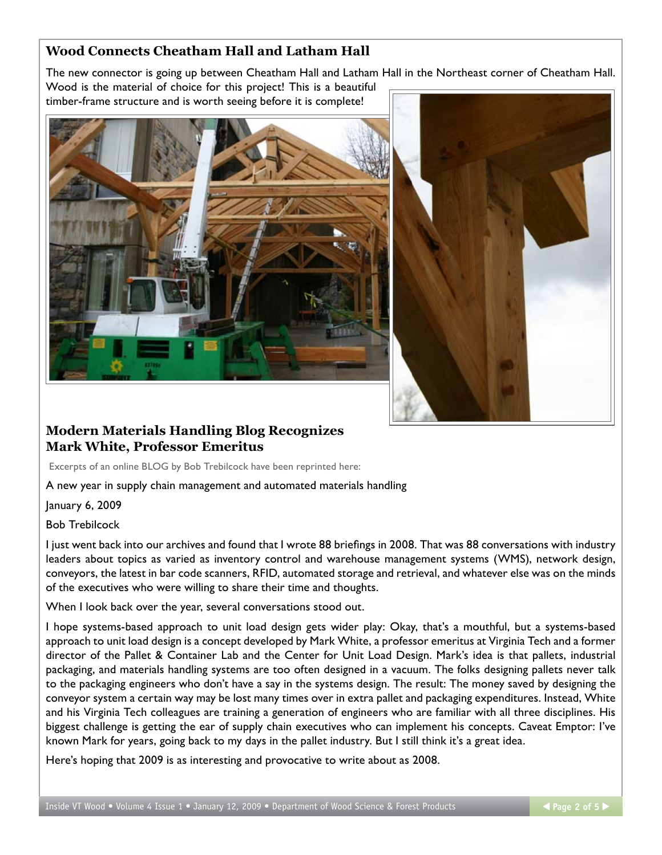# **Wood Connects Cheatham Hall and Latham Hall**

The new connector is going up between Cheatham Hall and Latham Hall in the Northeast corner of Cheatham Hall. Wood is the material of choice for this project! This is a beautiful timber-frame structure and is worth seeing before it is complete!



# **Modern Materials Handling Blog Recognizes Mark White, Professor Emeritus**

Excerpts of an online BLOG by Bob Trebilcock have been reprinted here:

A new year in supply chain management and automated materials handling

January 6, 2009

Bob Trebilcock

I just went back into our archives and found that I wrote 88 briefings in 2008. That was 88 conversations with industry leaders about topics as varied as inventory control and warehouse management systems (WMS), network design, conveyors, the latest in bar code scanners, RFID, automated storage and retrieval, and whatever else was on the minds of the executives who were willing to share their time and thoughts.

When I look back over the year, several conversations stood out.

I hope systems-based approach to unit load design gets wider play: Okay, that's a mouthful, but a systems-based approach to unit load design is a concept developed by Mark White, a professor emeritus at Virginia Tech and a former director of the Pallet & Container Lab and the Center for Unit Load Design. Mark's idea is that pallets, industrial packaging, and materials handling systems are too often designed in a vacuum. The folks designing pallets never talk to the packaging engineers who don't have a say in the systems design. The result: The money saved by designing the conveyor system a certain way may be lost many times over in extra pallet and packaging expenditures. Instead, White and his Virginia Tech colleagues are training a generation of engineers who are familiar with all three disciplines. His biggest challenge is getting the ear of supply chain executives who can implement his concepts. Caveat Emptor: I've known Mark for years, going back to my days in the pallet industry. But I still think it's a great idea.

Here's hoping that 2009 is as interesting and provocative to write about as 2008.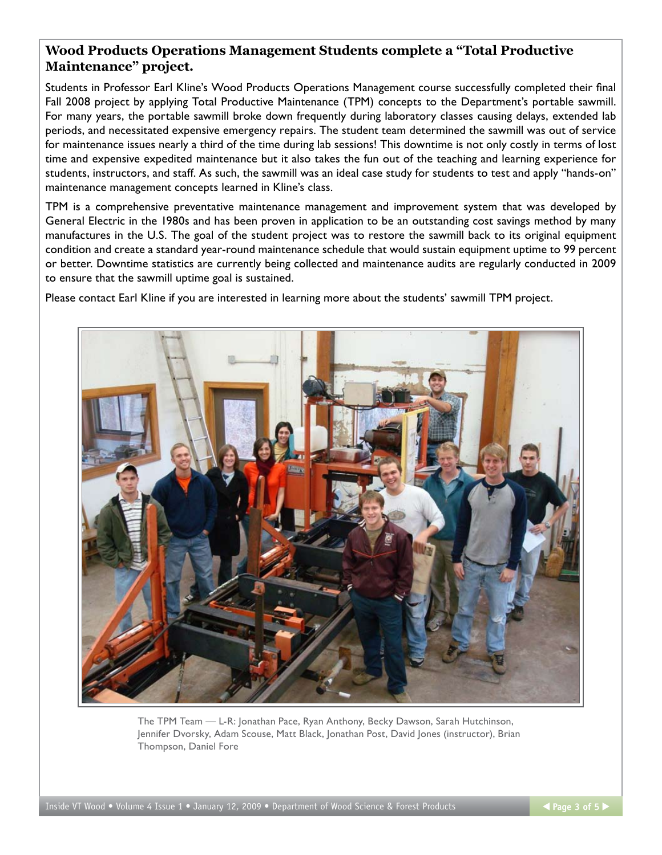### **Wood Products Operations Management Students complete a "Total Productive Maintenance" project.**

Students in Professor Earl Kline's Wood Products Operations Management course successfully completed their final Fall 2008 project by applying Total Productive Maintenance (TPM) concepts to the Department's portable sawmill. For many years, the portable sawmill broke down frequently during laboratory classes causing delays, extended lab periods, and necessitated expensive emergency repairs. The student team determined the sawmill was out of service for maintenance issues nearly a third of the time during lab sessions! This downtime is not only costly in terms of lost time and expensive expedited maintenance but it also takes the fun out of the teaching and learning experience for students, instructors, and staff. As such, the sawmill was an ideal case study for students to test and apply "hands-on" maintenance management concepts learned in Kline's class.

TPM is a comprehensive preventative maintenance management and improvement system that was developed by General Electric in the 1980s and has been proven in application to be an outstanding cost savings method by many manufactures in the U.S. The goal of the student project was to restore the sawmill back to its original equipment condition and create a standard year-round maintenance schedule that would sustain equipment uptime to 99 percent or better. Downtime statistics are currently being collected and maintenance audits are regularly conducted in 2009 to ensure that the sawmill uptime goal is sustained.

Please contact Earl Kline if you are interested in learning more about the students' sawmill TPM project.



The TPM Team — L-R: Jonathan Pace, Ryan Anthony, Becky Dawson, Sarah Hutchinson, Jennifer Dvorsky, Adam Scouse, Matt Black, Jonathan Post, David Jones (instructor), Brian Thompson, Daniel Fore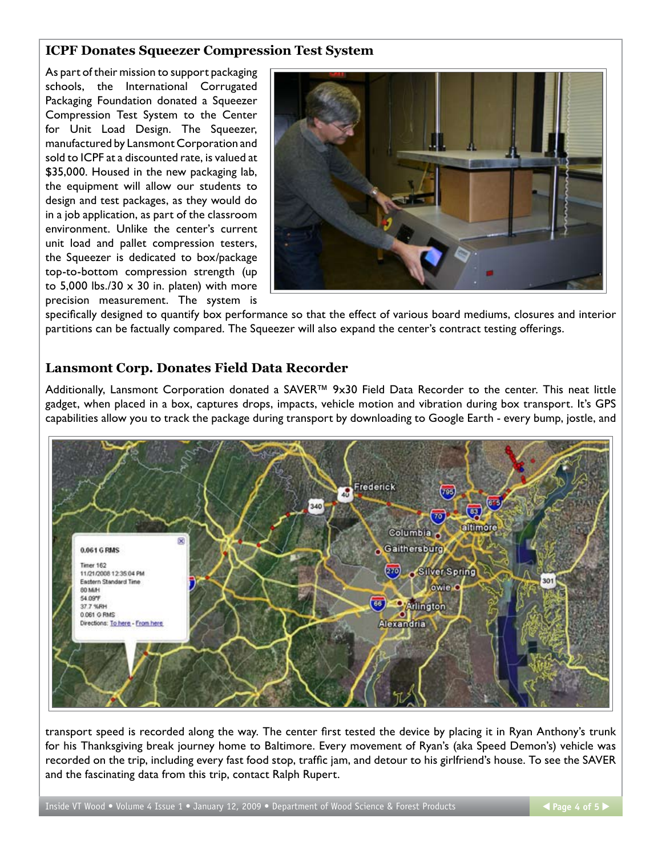## **ICPF Donates Squeezer Compression Test System**

As part of their mission to support packaging schools, the International Corrugated Packaging Foundation donated a Squeezer Compression Test System to the Center for Unit Load Design. The Squeezer, manufactured by Lansmont Corporation and sold to ICPF at a discounted rate, is valued at \$35,000. Housed in the new packaging lab, the equipment will allow our students to design and test packages, as they would do in a job application, as part of the classroom environment. Unlike the center's current unit load and pallet compression testers, the Squeezer is dedicated to box/package top-to-bottom compression strength (up to 5,000 lbs./30  $\times$  30 in. platen) with more precision measurement. The system is



specifically designed to quantify box performance so that the effect of various board mediums, closures and interior partitions can be factually compared. The Squeezer will also expand the center's contract testing offerings.

#### **Lansmont Corp. Donates Field Data Recorder**

Additionally, Lansmont Corporation donated a SAVER™ 9x30 Field Data Recorder to the center. This neat little gadget, when placed in a box, captures drops, impacts, vehicle motion and vibration during box transport. It's GPS capabilities allow you to track the package during transport by downloading to Google Earth - every bump, jostle, and



transport speed is recorded along the way. The center first tested the device by placing it in Ryan Anthony's trunk for his Thanksgiving break journey home to Baltimore. Every movement of Ryan's (aka Speed Demon's) vehicle was recorded on the trip, including every fast food stop, traffic jam, and detour to his girlfriend's house. To see the SAVER and the fascinating data from this trip, contact Ralph Rupert.